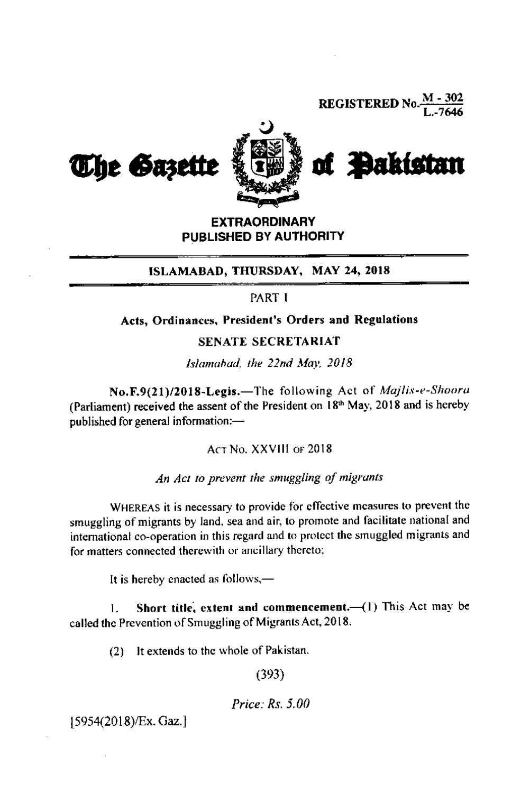**REGISTERED No.**  $\frac{M-302}{I-7646}$ 



**EXTRAORDINARY** PUBLISHED BY AUTHORITY

## ISLAMABAD, THURSDAY, MAY 24, 2018

PART I

### Acts, Ordinances, President's Orders and Regulations

### **SENATE SECRETARIAT**

Islamahad, the 22nd May, 2018

No.F.9(21)/2018-Legis.-The following Act of Majlis-e-Shoora (Parliament) received the assent of the President on 18<sup>th</sup> May, 2018 and is hereby published for general information:-

ACT No. XXVIII OF 2018

An Act to prevent the smuggling of migrants

WHEREAS it is necessary to provide for effective measures to prevent the smuggling of migrants by land, sea and air, to promote and facilitate national and international co-operation in this regard and to protect the smuggled migrants and for matters connected therewith or ancillary thereto;

It is hereby enacted as follows,—

Short title, extent and commencement.-(1) This Act may be 1. called the Prevention of Smuggling of Migrants Act, 2018.

> It extends to the whole of Pakistan.  $(2)$

> > $(393)$

Price:  $Rs. 5.00$ 

15954(2018)/Ex. Gaz.]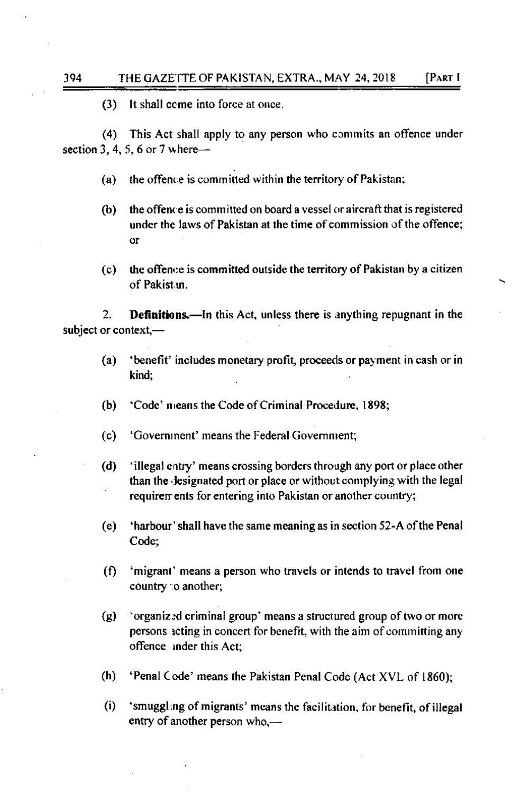(3) It shall come into force at once.

(4) This Act shall apply to any person who commits an offence under section 3, 4, 5, 6 or 7 where-

- $(a)$  the offence is committed within the territory of Pakistan;
- (b) the offence is committed on board a vessel or aircraft that is registered under the laws of Pakistan at the time of commission of the offence: or
- $(c)$  the offence is committed outside the territory of Pakistan by a citizen of Pakistan.

2. **Definitions.—In** this Act, unless there is anything repugnant in the subject or context,—<br>

- (a) 'benefit' includes monetary profit, proceeds or payment in cash or in kind;
- (b) 'Code' means the Code of Criminal Procedure, 1898;
- (c) 'Government' means the Federal Government;
- (d) 'illegal entry' means crossing borders through any port or place other than the designated port or place or without complying with the legal requirem ents for entering into Pakistan or another country;
- (e) 'harbour's hall have the same meaning as in section 52-A of the Penal Code;
- $(6)$  'migrant' means a person who travels or intends to travel from one country to another;
- $(g)$  'organized criminal group' means a structured group of two or more persons acting in concert for benefit, with the aim of committing any offence inder this Act:
- (h) 'Penal (ode' means the Pakislan Penal Code (Act XVL of 1860):
- (i) 'smuggling of migrants' means the facilitation, for benefit, of illegal entry of another person who, $-$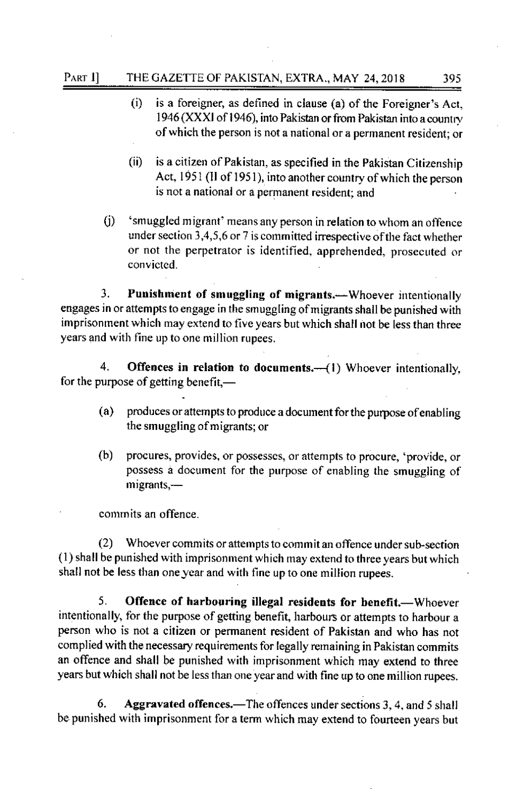# PART I] THE GAZETTE OF PAKISTAN, EXTRA., MAY 24, 2018 395

- $(i)$  is a foreigner, as defined in clause (a) of the Foreigner's Act. 1946 (XXXI of 1946), into Pakistan or from Pakistan into a country ofwhich the person is not a national or a permanent resident; or
- $(ii)$  is a citizen of Pakistan, as specified in the Pakistan Citizenship Act, 1951 (Il of 1951), into another country of which the person is not a national or a permanent resident; and
- (j)'smuggled migrant' meansanyperson in relation towhom an offence under section  $3,4,5,6$  or 7 is committed irrespective of the fact whether or not the perpetrator is identified, apprehended, prosecuted or convictcd.

3. Punishment of smuggling of migrants.—Whoever intentionally engages in or attempts to engage in the smuggling of migrants shall be punished with imprisonment which may extend to five years but which shall not be less than three years and with fine up to one million rupees.

4. Offences in relation to documents.--(1) Whoever intentionally, for the purpose of getting benefit,—

- (a) produces or attempts to produce a document for the purpose of enabling the smuggling of migrants; or
- (b) procures, provides, or possesses, or attempts to procure, 'provide, or possess a document for the purpose of enabling the smuggling of  $m$ igrants, $-$

comrnits an offence

 $(2)$  Whoever commits or attempts to commit an offence under sub-section (1) shall be punished with imprisonnrent which rnay extend ro rhree years but which shall not be less than one year and with fine up to one million rupees.

5. Offence of harbouring illegal residents for benefit.--Whoever intentionally, for the purpose of getting benefit, harbours or attempts to harbour a person who is not a citizen or perrnanent resident of Pakistan and who has not complied with the necessary requirements for legally remaining in Pakistan commits an offence and shall be punished with imprisonment which may extend to three years but which shall not be less than one yearand with fine up to one million rupees.

6. Aggravated offences.—The offences under sections 3, 4, and 5 shall be punished with imprisonment for a term which may extend to fourteen years but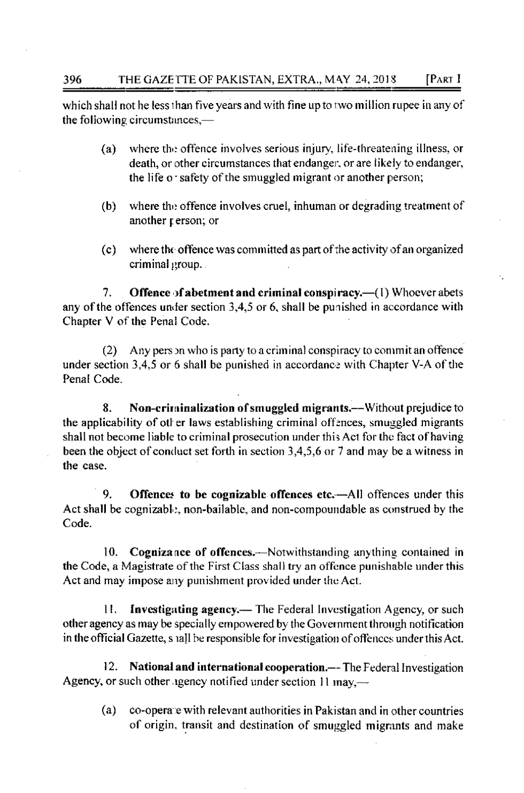which shall not he less than five years and with fine up to two million rupee in any of the following circumstances,—

- $(a)$ where the offence involves serious injury, life-threatening illness, or death, or other circumstances that endanger, or are likely to endanger, the life or safety of the smuggled migrant or another person;
- $(b)$ where the offence involves cruel, inhuman or degrading treatment of another person; or
- $(c)$ where the offence was committed as part of the activity of an organized criminal group.

7. **Offence of abetment and criminal conspiracy.** (1) Whoever abets any of the offences under section 3,4,5 or 6, shall be punished in accordance with Chapter V of the Penal Code.

(2) Any person who is party to a criminal conspiracy to commit an offence under section 3,4.5 or 6 shall be punished in accordance with Chapter V-A of the Penal Code.

8. Non-criminalization of smuggled migrants.—Without prejudice to the applicability of other laws establishing criminal offences, smuggled migrants shall not become liable to criminal prosecution under this Act for the fact of having been the object of conduct set forth in section 3,4,5,6 or 7 and may be a witness in the case.

Offences to be cognizable offences etc.-All offences under this 9. Act shall be cognizable, non-bailable, and non-compoundable as construed by the Code.

 $10.$ Cognizance of offences.—Notwithstanding anything contained in the Code, a Magistrate of the First Class shall try an offence punishable under this Act and may impose any punishment provided under the Act.

11. Investigating agency.— The Federal Investigation Agency, or such other agency as may be specially empowered by the Government through notification in the official Gazette, s tall be responsible for investigation of offences under this Act.

 $12.$ National and international cooperation.—- The Federal Investigation Agency, or such other agency notified under section 11 may,—

 $(a)$ co-operate with relevant authorities in Pakistan and in other countries of origin, transit and destination of smuggled migrants and make